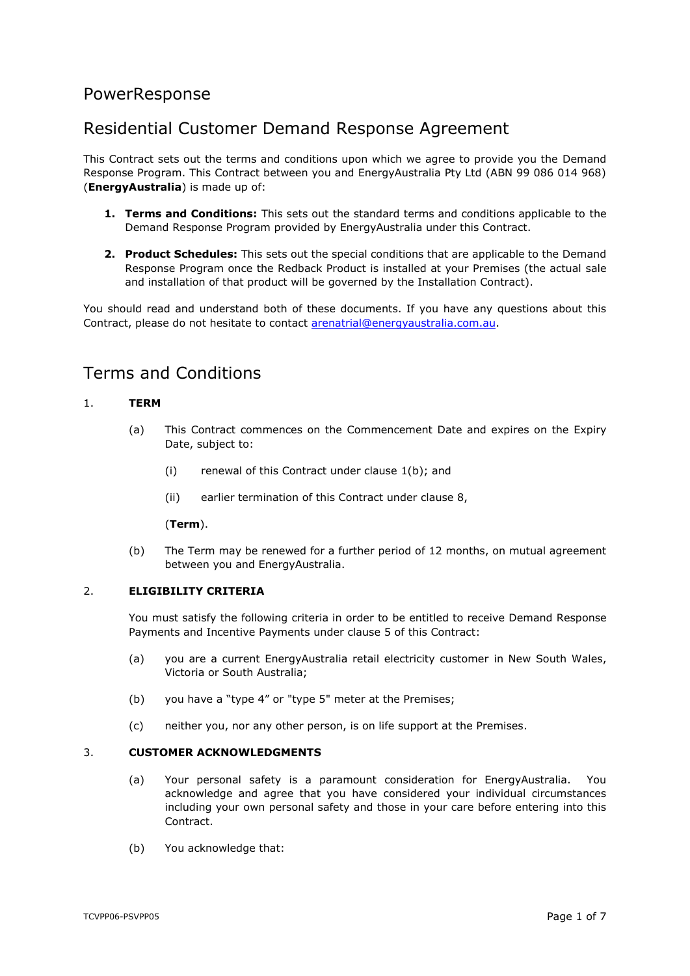# PowerResponse

# Residential Customer Demand Response Agreement

This Contract sets out the terms and conditions upon which we agree to provide you the Demand Response Program. This Contract between you and EnergyAustralia Pty Ltd (ABN 99 086 014 968) (**EnergyAustralia**) is made up of:

- **1. Terms and Conditions:** This sets out the standard terms and conditions applicable to the Demand Response Program provided by EnergyAustralia under this Contract.
- **2. Product Schedules:** This sets out the special conditions that are applicable to the Demand Response Program once the Redback Product is installed at your Premises (the actual sale and installation of that product will be governed by the Installation Contract).

You should read and understand both of these documents. If you have any questions about this Contract, please do not hesitate to contact [arenatrial@energyaustralia.com.au.](mailto:arenatrial@energyaustralia.com.au)

# Terms and Conditions

## <span id="page-0-2"></span>1. **TERM**

- (a) This Contract commences on the Commencement Date and expires on the Expiry Date, subject to:
	- (i) renewal of this Contract under clause [1\(b\);](#page-0-0) and
	- (ii) earlier termination of this Contract under clause [8,](#page-3-0)

#### (**Term**).

(b) The Term may be renewed for a further period of 12 months, on mutual agreement between you and EnergyAustralia.

## <span id="page-0-1"></span><span id="page-0-0"></span>2. **ELIGIBILITY CRITERIA**

You must satisfy the following criteria in order to be entitled to receive Demand Response Payments and Incentive Payments under clause [5](#page-1-0) of this Contract:

- (a) you are a current EnergyAustralia retail electricity customer in New South Wales, Victoria or South Australia;
- (b) you have a "type 4" or "type 5" meter at the Premises;
- (c) neither you, nor any other person, is on life support at the Premises.

### 3. **CUSTOMER ACKNOWLEDGMENTS**

- (a) Your personal safety is a paramount consideration for EnergyAustralia. You acknowledge and agree that you have considered your individual circumstances including your own personal safety and those in your care before entering into this **Contract**
- (b) You acknowledge that: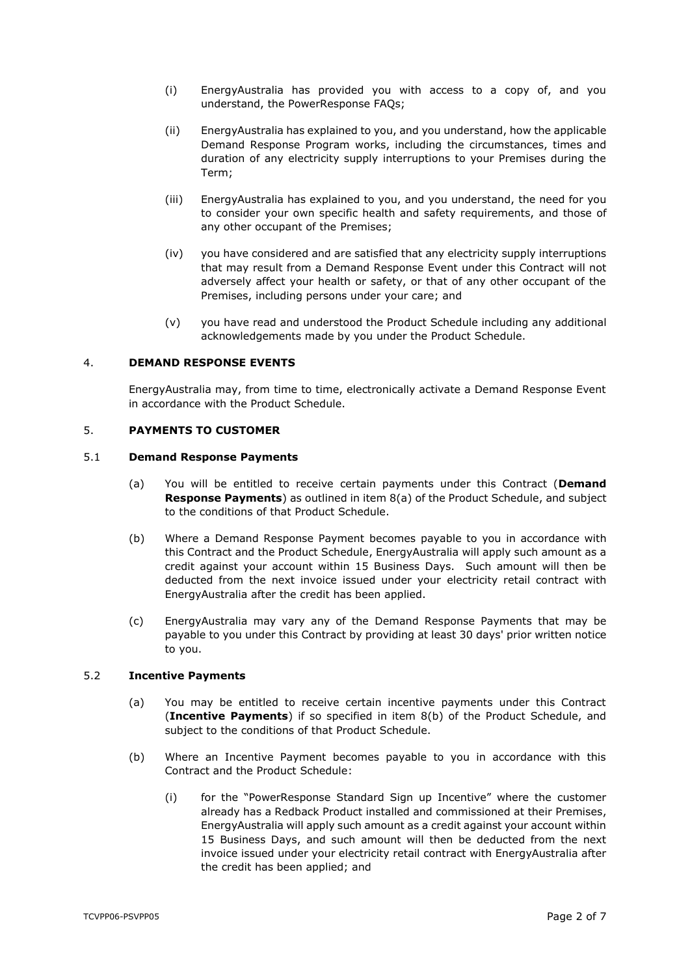- (i) EnergyAustralia has provided you with access to a copy of, and you understand, the PowerResponse FAQs;
- (ii) EnergyAustralia has explained to you, and you understand, how the applicable Demand Response Program works, including the circumstances, times and duration of any electricity supply interruptions to your Premises during the Term;
- (iii) EnergyAustralia has explained to you, and you understand, the need for you to consider your own specific health and safety requirements, and those of any other occupant of the Premises;
- (iv) you have considered and are satisfied that any electricity supply interruptions that may result from a Demand Response Event under this Contract will not adversely affect your health or safety, or that of any other occupant of the Premises, including persons under your care; and
- (v) you have read and understood the Product Schedule including any additional acknowledgements made by you under the Product Schedule.

## 4. **DEMAND RESPONSE EVENTS**

EnergyAustralia may, from time to time, electronically activate a Demand Response Event in accordance with the Product Schedule.

## <span id="page-1-0"></span>5. **PAYMENTS TO CUSTOMER**

#### <span id="page-1-3"></span><span id="page-1-2"></span>5.1 **Demand Response Payments**

- (a) You will be entitled to receive certain payments under this Contract (**Demand Response Payments**) as outlined in item [8\(a\)](#page-9-0) of the Product Schedule, and subject to the conditions of that Product Schedule.
- (b) Where a Demand Response Payment becomes payable to you in accordance with this Contract and the Product Schedule, EnergyAustralia will apply such amount as a credit against your account within 15 Business Days. Such amount will then be deducted from the next invoice issued under your electricity retail contract with EnergyAustralia after the credit has been applied.
- <span id="page-1-5"></span>(c) EnergyAustralia may vary any of the Demand Response Payments that may be payable to you under this Contract by providing at least 30 days' prior written notice to you.

#### <span id="page-1-4"></span>5.2 **Incentive Payments**

- (a) You may be entitled to receive certain incentive payments under this Contract (**Incentive Payments**) if so specified in item [8\(b\)](#page-9-1) of the Product Schedule, and subject to the conditions of that Product Schedule.
- <span id="page-1-1"></span>(b) Where an Incentive Payment becomes payable to you in accordance with this Contract and the Product Schedule:
	- (i) for the "PowerResponse Standard Sign up Incentive" where the customer already has a Redback Product installed and commissioned at their Premises, EnergyAustralia will apply such amount as a credit against your account within 15 Business Days, and such amount will then be deducted from the next invoice issued under your electricity retail contract with EnergyAustralia after the credit has been applied; and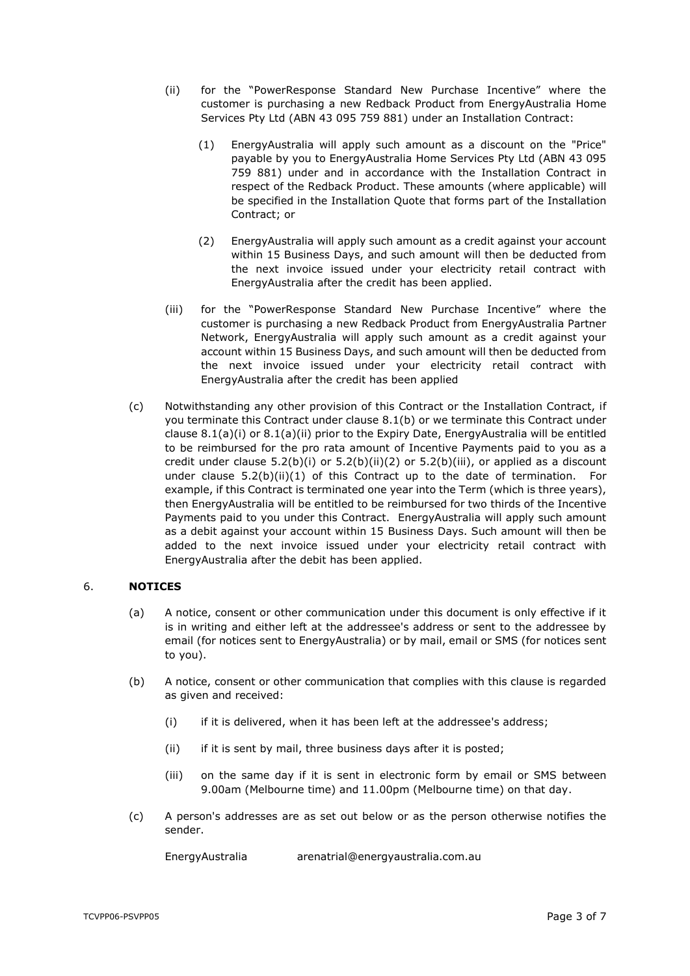- <span id="page-2-3"></span><span id="page-2-2"></span>(ii) for the "PowerResponse Standard New Purchase Incentive" where the customer is purchasing a new Redback Product from EnergyAustralia Home Services Pty Ltd (ABN 43 095 759 881) under an Installation Contract:
	- (1) EnergyAustralia will apply such amount as a discount on the "Price" payable by you to EnergyAustralia Home Services Pty Ltd (ABN 43 095 759 881) under and in accordance with the Installation Contract in respect of the Redback Product. These amounts (where applicable) will be specified in the Installation Quote that forms part of the Installation Contract; or
	- (2) EnergyAustralia will apply such amount as a credit against your account within 15 Business Days, and such amount will then be deducted from the next invoice issued under your electricity retail contract with EnergyAustralia after the credit has been applied.
- <span id="page-2-1"></span><span id="page-2-0"></span>(iii) for the "PowerResponse Standard New Purchase Incentive" where the customer is purchasing a new Redback Product from EnergyAustralia Partner Network, EnergyAustralia will apply such amount as a credit against your account within 15 Business Days, and such amount will then be deducted from the next invoice issued under your electricity retail contract with EnergyAustralia after the credit has been applied
- <span id="page-2-4"></span>(c) Notwithstanding any other provision of this Contract or the Installation Contract, if you terminate this Contract under clause [8.1\(b\)](#page-3-1) or we terminate this Contract under clause [8.1\(a\)\(i\)](#page-3-2) or [8.1\(a\)\(ii\)](#page-3-3) prior to the Expiry Date, EnergyAustralia will be entitled to be reimbursed for the pro rata amount of Incentive Payments paid to you as a credit under clause  $5.2(b)(i)$  or  $5.2(b)(ii)(2)$  $5.2(b)(ii)(2)$  or  $5.2(b)(iii)$ , or applied as a discount under clause  $5.2(b)(ii)(1)$  $5.2(b)(ii)(1)$  of this Contract up to the date of termination. For example, if this Contract is terminated one year into the Term (which is three years), then EnergyAustralia will be entitled to be reimbursed for two thirds of the Incentive Payments paid to you under this Contract. EnergyAustralia will apply such amount as a debit against your account within 15 Business Days. Such amount will then be added to the next invoice issued under your electricity retail contract with EnergyAustralia after the debit has been applied.

## 6. **NOTICES**

- (a) A notice, consent or other communication under this document is only effective if it is in writing and either left at the addressee's address or sent to the addressee by email (for notices sent to EnergyAustralia) or by mail, email or SMS (for notices sent to you).
- (b) A notice, consent or other communication that complies with this clause is regarded as given and received:
	- (i) if it is delivered, when it has been left at the addressee's address;
	- (ii) if it is sent by mail, three business days after it is posted;
	- (iii) on the same day if it is sent in electronic form by email or SMS between 9.00am (Melbourne time) and 11.00pm (Melbourne time) on that day.
- (c) A person's addresses are as set out below or as the person otherwise notifies the sender.

EnergyAustralia arenatrial@energyaustralia.com.au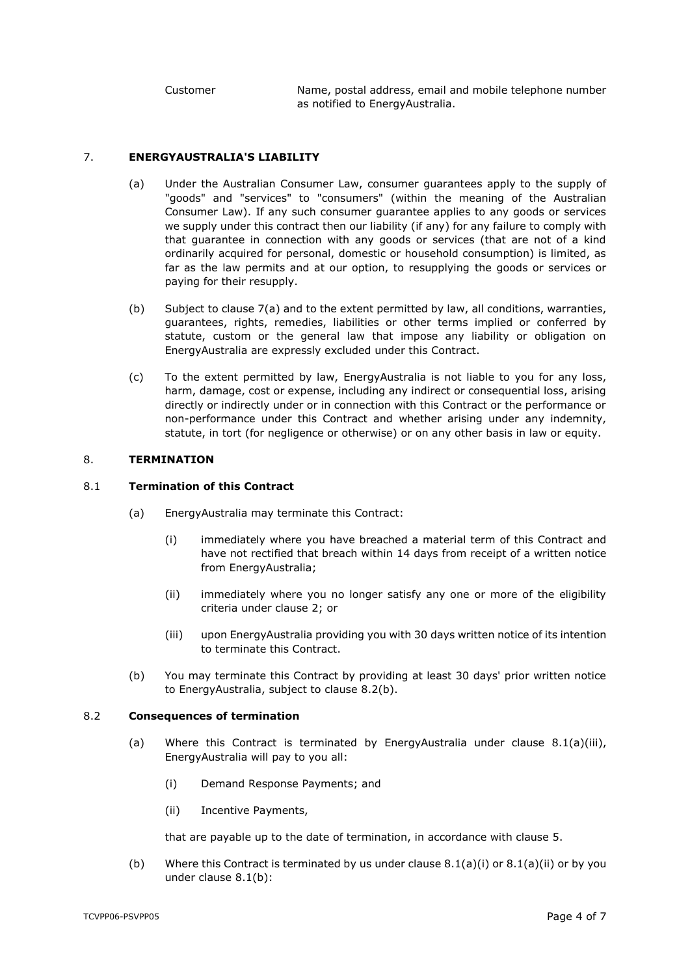Customer Name, postal address, email and mobile telephone number as notified to EnergyAustralia.

### <span id="page-3-4"></span>7. **ENERGYAUSTRALIA'S LIABILITY**

- (a) Under the Australian Consumer Law, consumer guarantees apply to the supply of "goods" and "services" to "consumers" (within the meaning of the Australian Consumer Law). If any such consumer guarantee applies to any goods or services we supply under this contract then our liability (if any) for any failure to comply with that guarantee in connection with any goods or services (that are not of a kind ordinarily acquired for personal, domestic or household consumption) is limited, as far as the law permits and at our option, to resupplying the goods or services or paying for their resupply.
- (b) Subject to clause [7\(a\)](#page-3-4) and to the extent permitted by law, all conditions, warranties, guarantees, rights, remedies, liabilities or other terms implied or conferred by statute, custom or the general law that impose any liability or obligation on EnergyAustralia are expressly excluded under this Contract.
- (c) To the extent permitted by law, EnergyAustralia is not liable to you for any loss, harm, damage, cost or expense, including any indirect or consequential loss, arising directly or indirectly under or in connection with this Contract or the performance or non-performance under this Contract and whether arising under any indemnity, statute, in tort (for negligence or otherwise) or on any other basis in law or equity.

#### <span id="page-3-0"></span>8. **TERMINATION**

### <span id="page-3-2"></span>8.1 **Termination of this Contract**

- <span id="page-3-3"></span>(a) EnergyAustralia may terminate this Contract:
	- (i) immediately where you have breached a material term of this Contract and have not rectified that breach within 14 days from receipt of a written notice from EnergyAustralia;
	- (ii) immediately where you no longer satisfy any one or more of the eligibility criteria under clause [2;](#page-0-1) or
	- (iii) upon EnergyAustralia providing you with 30 days written notice of its intention to terminate this Contract.
- <span id="page-3-6"></span>(b) You may terminate this Contract by providing at least 30 days' prior written notice to EnergyAustralia, subject to clause [8.2\(b\).](#page-3-5)

#### <span id="page-3-1"></span>8.2 **Consequences of termination**

- (a) Where this Contract is terminated by EnergyAustralia under clause  $8.1(a)(iii)$ , EnergyAustralia will pay to you all:
	- (i) Demand Response Payments; and
	- (ii) Incentive Payments,

that are payable up to the date of termination, in accordance with clause [5.](#page-1-0)

<span id="page-3-5"></span>(b) Where this Contract is terminated by us under clause  $8.1(a)(i)$  or  $8.1(a)(ii)$  or by you under clause [8.1\(b\):](#page-3-1)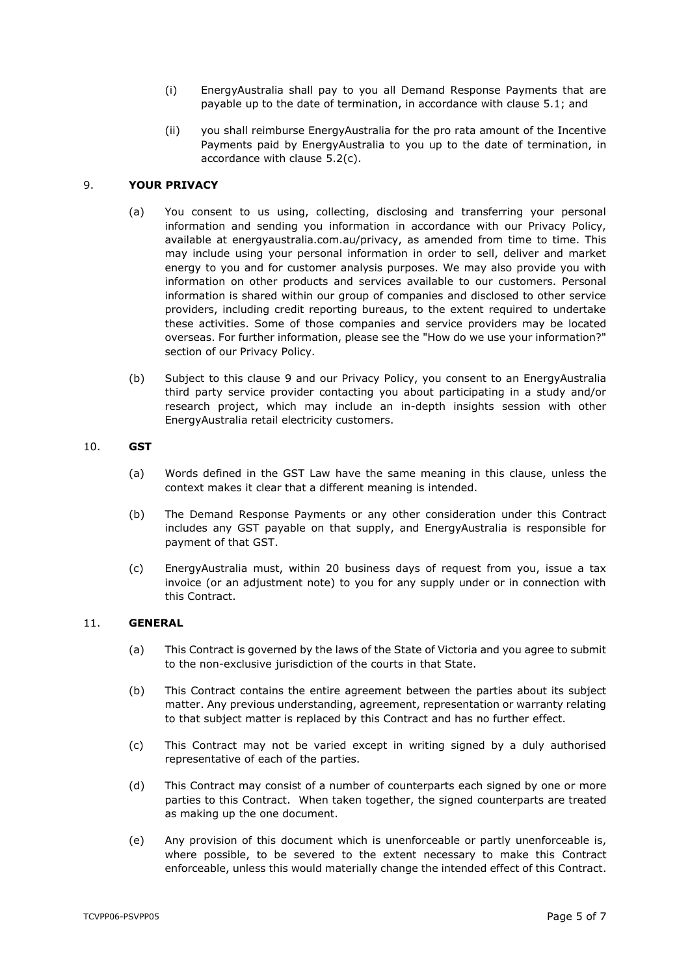- (i) EnergyAustralia shall pay to you all Demand Response Payments that are payable up to the date of termination, in accordance with clause [5.1;](#page-1-2) and
- (ii) you shall reimburse EnergyAustralia for the pro rata amount of the Incentive Payments paid by EnergyAustralia to you up to the date of termination, in accordance with clause [5.2\(c\).](#page-2-4)

### <span id="page-4-0"></span>9. **YOUR PRIVACY**

- (a) You consent to us using, collecting, disclosing and transferring your personal information and sending you information in accordance with our Privacy Policy, available at energyaustralia.com.au/privacy, as amended from time to time. This may include using your personal information in order to sell, deliver and market energy to you and for customer analysis purposes. We may also provide you with information on other products and services available to our customers. Personal information is shared within our group of companies and disclosed to other service providers, including credit reporting bureaus, to the extent required to undertake these activities. Some of those companies and service providers may be located overseas. For further information, please see the "How do we use your information?" section of our Privacy Policy.
- (b) Subject to this clause [9](#page-4-0) and our Privacy Policy, you consent to an EnergyAustralia third party service provider contacting you about participating in a study and/or research project, which may include an in-depth insights session with other EnergyAustralia retail electricity customers.

#### 10. **GST**

- (a) Words defined in the GST Law have the same meaning in this clause, unless the context makes it clear that a different meaning is intended.
- (b) The Demand Response Payments or any other consideration under this Contract includes any GST payable on that supply, and EnergyAustralia is responsible for payment of that GST.
- (c) EnergyAustralia must, within 20 business days of request from you, issue a tax invoice (or an adjustment note) to you for any supply under or in connection with this Contract.

#### 11. **GENERAL**

- (a) This Contract is governed by the laws of the State of Victoria and you agree to submit to the non-exclusive jurisdiction of the courts in that State.
- (b) This Contract contains the entire agreement between the parties about its subject matter. Any previous understanding, agreement, representation or warranty relating to that subject matter is replaced by this Contract and has no further effect.
- (c) This Contract may not be varied except in writing signed by a duly authorised representative of each of the parties.
- (d) This Contract may consist of a number of counterparts each signed by one or more parties to this Contract. When taken together, the signed counterparts are treated as making up the one document.
- (e) Any provision of this document which is unenforceable or partly unenforceable is, where possible, to be severed to the extent necessary to make this Contract enforceable, unless this would materially change the intended effect of this Contract.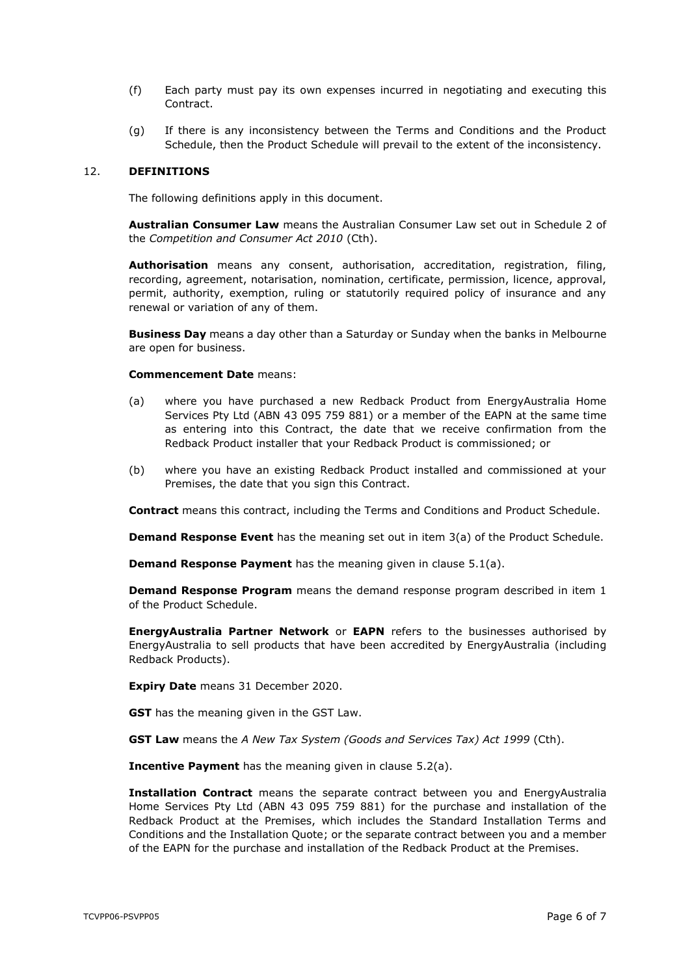- (f) Each party must pay its own expenses incurred in negotiating and executing this Contract.
- (g) If there is any inconsistency between the Terms and Conditions and the Product Schedule, then the Product Schedule will prevail to the extent of the inconsistency.

#### 12. **DEFINITIONS**

The following definitions apply in this document.

**Australian Consumer Law** means the Australian Consumer Law set out in Schedule 2 of the *Competition and Consumer Act 2010* (Cth).

**Authorisation** means any consent, authorisation, accreditation, registration, filing, recording, agreement, notarisation, nomination, certificate, permission, licence, approval, permit, authority, exemption, ruling or statutorily required policy of insurance and any renewal or variation of any of them.

**Business Day** means a day other than a Saturday or Sunday when the banks in Melbourne are open for business.

#### **Commencement Date** means:

- (a) where you have purchased a new Redback Product from EnergyAustralia Home Services Pty Ltd (ABN 43 095 759 881) or a member of the EAPN at the same time as entering into this Contract, the date that we receive confirmation from the Redback Product installer that your Redback Product is commissioned; or
- (b) where you have an existing Redback Product installed and commissioned at your Premises, the date that you sign this Contract.

**Contract** means this contract, including the Terms and Conditions and Product Schedule.

**Demand Response Event** has the meaning set out in item [3\(a\)](#page-7-0) of the Product Schedule.

**Demand Response Payment** has the meaning given in clause [5.1\(a\).](#page-1-3)

**Demand Response Program** means the demand response program described in item [1](#page-7-1) of the Product Schedule.

**EnergyAustralia Partner Network** or **EAPN** refers to the businesses authorised by EnergyAustralia to sell products that have been accredited by EnergyAustralia (including Redback Products).

**Expiry Date** means 31 December 2020.

**GST** has the meaning given in the GST Law.

**GST Law** means the *A New Tax System (Goods and Services Tax) Act 1999* (Cth).

**Incentive Payment** has the meaning given in clause [5.2\(a\).](#page-1-4)

**Installation Contract** means the separate contract between you and EnergyAustralia Home Services Pty Ltd (ABN 43 095 759 881) for the purchase and installation of the Redback Product at the Premises, which includes the Standard Installation Terms and Conditions and the Installation Quote; or the separate contract between you and a member of the EAPN for the purchase and installation of the Redback Product at the Premises.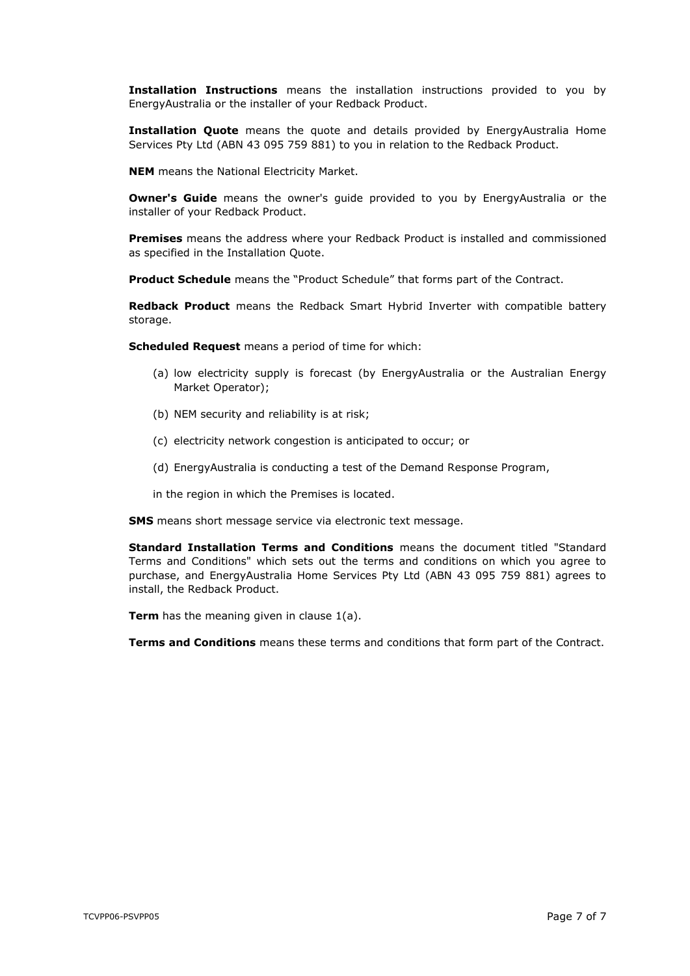**Installation Instructions** means the installation instructions provided to you by EnergyAustralia or the installer of your Redback Product.

**Installation Quote** means the quote and details provided by EnergyAustralia Home Services Pty Ltd (ABN 43 095 759 881) to you in relation to the Redback Product.

**NEM** means the National Electricity Market.

**Owner's Guide** means the owner's quide provided to you by EnergyAustralia or the installer of your Redback Product.

**Premises** means the address where your Redback Product is installed and commissioned as specified in the Installation Quote.

**Product Schedule** means the "Product Schedule" that forms part of the Contract.

**Redback Product** means the Redback Smart Hybrid Inverter with compatible battery storage.

**Scheduled Request** means a period of time for which:

- (a) low electricity supply is forecast (by EnergyAustralia or the Australian Energy Market Operator);
- (b) NEM security and reliability is at risk;
- (c) electricity network congestion is anticipated to occur; or
- (d) EnergyAustralia is conducting a test of the Demand Response Program,
- in the region in which the Premises is located.

**SMS** means short message service via electronic text message.

**Standard Installation Terms and Conditions** means the document titled "Standard Terms and Conditions" which sets out the terms and conditions on which you agree to purchase, and EnergyAustralia Home Services Pty Ltd (ABN 43 095 759 881) agrees to install, the Redback Product.

**Term** has the meaning given in clause [1\(a\).](#page-0-2)

**Terms and Conditions** means these terms and conditions that form part of the Contract.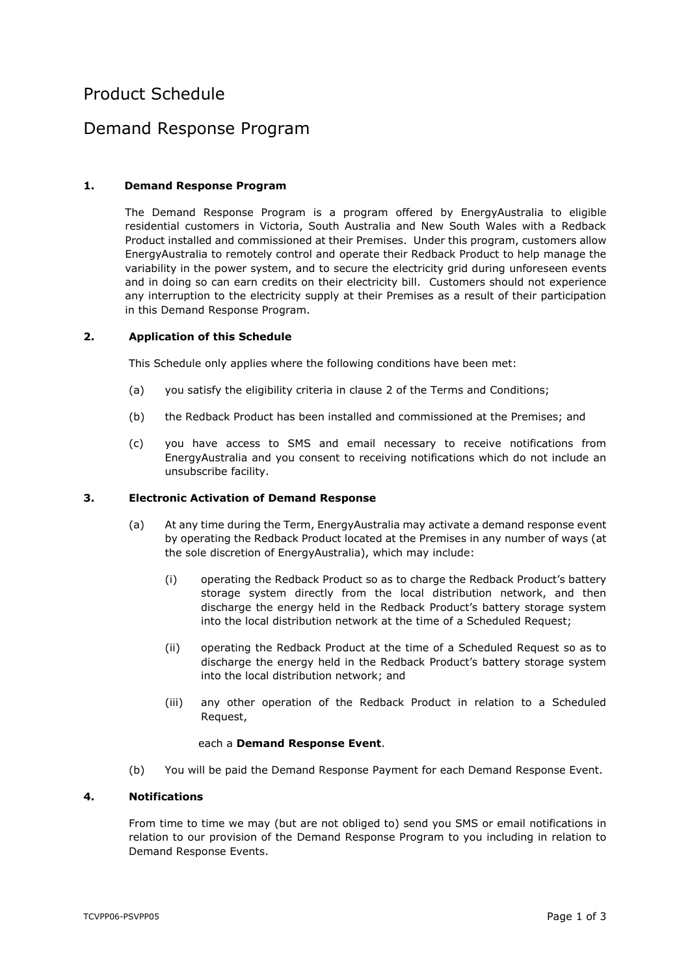# Product Schedule

## Demand Response Program

## <span id="page-7-1"></span>**1. Demand Response Program**

The Demand Response Program is a program offered by EnergyAustralia to eligible residential customers in Victoria, South Australia and New South Wales with a Redback Product installed and commissioned at their Premises. Under this program, customers allow EnergyAustralia to remotely control and operate their Redback Product to help manage the variability in the power system, and to secure the electricity grid during unforeseen events and in doing so can earn credits on their electricity bill. Customers should not experience any interruption to the electricity supply at their Premises as a result of their participation in this Demand Response Program.

#### **2. Application of this Schedule**

This Schedule only applies where the following conditions have been met:

- (a) you satisfy the eligibility criteria in clause [2](#page-0-1) of the Terms and Conditions;
- (b) the Redback Product has been installed and commissioned at the Premises; and
- (c) you have access to SMS and email necessary to receive notifications from EnergyAustralia and you consent to receiving notifications which do not include an unsubscribe facility.

#### <span id="page-7-0"></span>**3. Electronic Activation of Demand Response**

- (a) At any time during the Term, EnergyAustralia may activate a demand response event by operating the Redback Product located at the Premises in any number of ways (at the sole discretion of EnergyAustralia), which may include:
	- (i) operating the Redback Product so as to charge the Redback Product's battery storage system directly from the local distribution network, and then discharge the energy held in the Redback Product's battery storage system into the local distribution network at the time of a Scheduled Request;
	- (ii) operating the Redback Product at the time of a Scheduled Request so as to discharge the energy held in the Redback Product's battery storage system into the local distribution network; and
	- (iii) any other operation of the Redback Product in relation to a Scheduled Request,

#### each a **Demand Response Event**.

(b) You will be paid the Demand Response Payment for each Demand Response Event.

#### **4. Notifications**

From time to time we may (but are not obliged to) send you SMS or email notifications in relation to our provision of the Demand Response Program to you including in relation to Demand Response Events.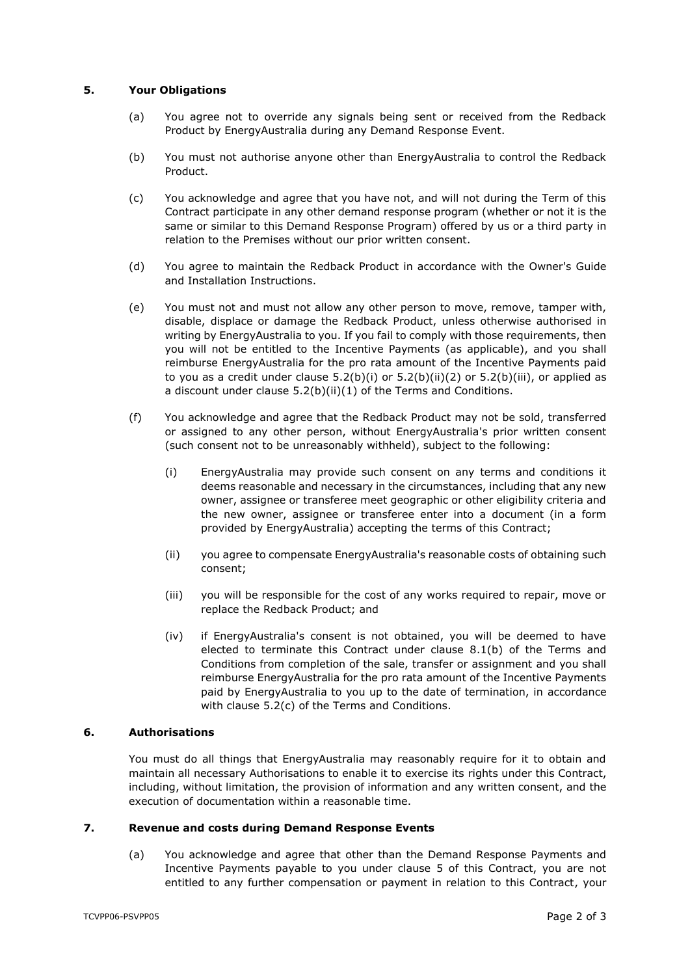## **5. Your Obligations**

- (a) You agree not to override any signals being sent or received from the Redback Product by EnergyAustralia during any Demand Response Event.
- (b) You must not authorise anyone other than EnergyAustralia to control the Redback Product.
- (c) You acknowledge and agree that you have not, and will not during the Term of this Contract participate in any other demand response program (whether or not it is the same or similar to this Demand Response Program) offered by us or a third party in relation to the Premises without our prior written consent.
- (d) You agree to maintain the Redback Product in accordance with the Owner's Guide and Installation Instructions.
- (e) You must not and must not allow any other person to move, remove, tamper with, disable, displace or damage the Redback Product, unless otherwise authorised in writing by EnergyAustralia to you. If you fail to comply with those requirements, then you will not be entitled to the Incentive Payments (as applicable), and you shall reimburse EnergyAustralia for the pro rata amount of the Incentive Payments paid to you as a credit under clause  $5.2(b)(i)$  or  $5.2(b)(ii)(2)$  $5.2(b)(ii)(2)$  or  $5.2(b)(iii)$ , or applied as a discount under clause [5.2\(b\)\(ii\)](#page-2-2)[\(1\)](#page-2-3) of the Terms and Conditions.
- (f) You acknowledge and agree that the Redback Product may not be sold, transferred or assigned to any other person, without EnergyAustralia's prior written consent (such consent not to be unreasonably withheld), subject to the following:
	- (i) EnergyAustralia may provide such consent on any terms and conditions it deems reasonable and necessary in the circumstances, including that any new owner, assignee or transferee meet geographic or other eligibility criteria and the new owner, assignee or transferee enter into a document (in a form provided by EnergyAustralia) accepting the terms of this Contract;
	- (ii) you agree to compensate EnergyAustralia's reasonable costs of obtaining such consent;
	- (iii) you will be responsible for the cost of any works required to repair, move or replace the Redback Product; and
	- (iv) if EnergyAustralia's consent is not obtained, you will be deemed to have elected to terminate this Contract under clause [8.1\(b\)](#page-3-1) of the Terms and Conditions from completion of the sale, transfer or assignment and you shall reimburse EnergyAustralia for the pro rata amount of the Incentive Payments paid by EnergyAustralia to you up to the date of termination, in accordance with clause [5.2\(c\)](#page-2-4) of the Terms and Conditions.

#### **6. Authorisations**

You must do all things that EnergyAustralia may reasonably require for it to obtain and maintain all necessary Authorisations to enable it to exercise its rights under this Contract, including, without limitation, the provision of information and any written consent, and the execution of documentation within a reasonable time.

### **7. Revenue and costs during Demand Response Events**

(a) You acknowledge and agree that other than the Demand Response Payments and Incentive Payments payable to you under clause [5](#page-1-0) of this Contract, you are not entitled to any further compensation or payment in relation to this Contract, your